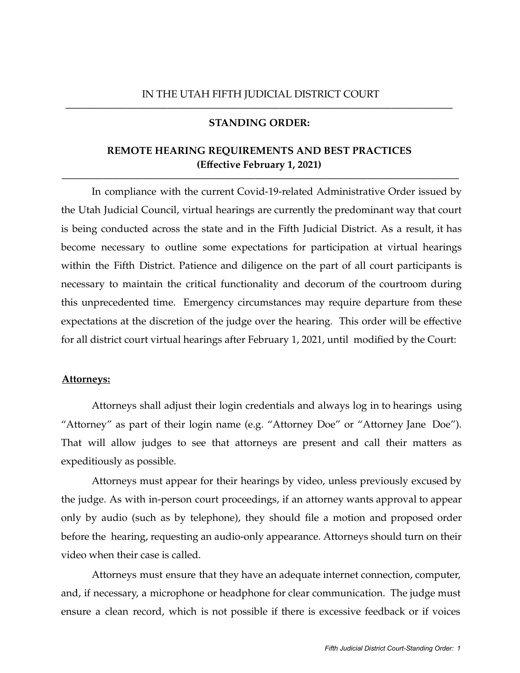### **STANDING ORDER:**

# **REMOTE HEARING REQUIREMENTS AND BEST PRACTICES (Effective February 1, 2021)**

———————————————————————————————————————

In compliance with the current Covid-19-related Administrative Order issued by the Utah Judicial Council, virtual hearings are currently the predominant way that court is being conducted across the state and in the Fifth Judicial District. As a result, it has become necessary to outline some expectations for participation at virtual hearings within the Fifth District. Patience and diligence on the part of all court participants is necessary to maintain the critical functionality and decorum of the courtroom during this unprecedented time. Emergency circumstances may require departure from these expectations at the discretion of the judge over the hearing. This order will be effective for all district court virtual hearings after February 1, 2021, until modified by the Court:

#### **Attorneys:**

Attorneys shall adjust their login credentials and always log in to hearings using "Attorney" as part of their login name (e.g. "Attorney Doe" or "Attorney Jane Doe"). That will allow judges to see that attorneys are present and call their matters as expeditiously as possible.

Attorneys must appear for their hearings by video, unless previously excused by the judge. As with in-person court proceedings, if an attorney wants approval to appear only by audio (such as by telephone), they should file a motion and proposed order before the hearing, requesting an audio-only appearance. Attorneys should turn on their video when their case is called.

Attorneys must ensure that they have an adequate internet connection, computer, and, if necessary, a microphone or headphone for clear communication. The judge must ensure a clean record, which is not possible if there is excessive feedback or if voices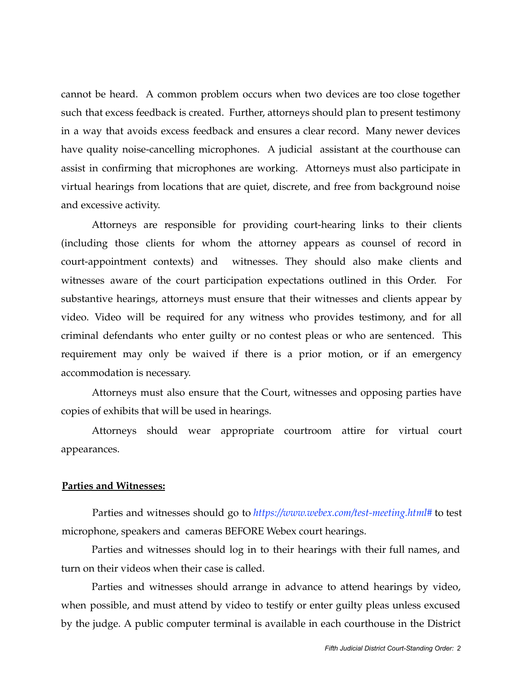cannot be heard. A common problem occurs when two devices are too close together such that excess feedback is created. Further, attorneys should plan to present testimony in a way that avoids excess feedback and ensures a clear record. Many newer devices have quality noise-cancelling microphones. A judicial assistant at the courthouse can assist in confirming that microphones are working. Attorneys must also participate in virtual hearings from locations that are quiet, discrete, and free from background noise and excessive activity.

Attorneys are responsible for providing court-hearing links to their clients (including those clients for whom the attorney appears as counsel of record in court-appointment contexts) and witnesses. They should also make clients and witnesses aware of the court participation expectations outlined in this Order. For substantive hearings, attorneys must ensure that their witnesses and clients appear by video. Video will be required for any witness who provides testimony, and for all criminal defendants who enter guilty or no contest pleas or who are sentenced. This requirement may only be waived if there is a prior motion, or if an emergency accommodation is necessary.

Attorneys must also ensure that the Court, witnesses and opposing parties have copies of exhibits that will be used in hearings.

Attorneys should wear appropriate courtroom attire for virtual court appearances.

## **Parties and Witnesses:**

Parties and witnesses should go to *https://www.webex.com/test-meeting.html#* to test microphone, speakers and cameras BEFORE Webex court hearings.

Parties and witnesses should log in to their hearings with their full names, and turn on their videos when their case is called.

Parties and witnesses should arrange in advance to attend hearings by video, when possible, and must attend by video to testify or enter guilty pleas unless excused by the judge. A public computer terminal is available in each courthouse in the District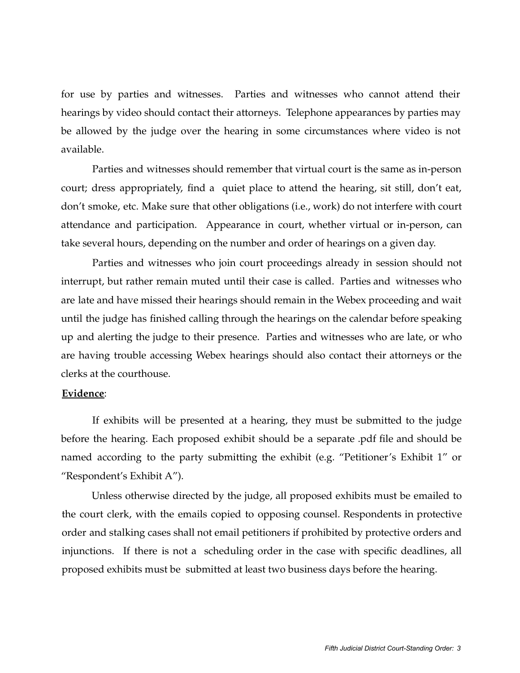for use by parties and witnesses. Parties and witnesses who cannot attend their hearings by video should contact their attorneys. Telephone appearances by parties may be allowed by the judge over the hearing in some circumstances where video is not available.

Parties and witnesses should remember that virtual court is the same as in-person court; dress appropriately, find a quiet place to attend the hearing, sit still, don't eat, don't smoke, etc. Make sure that other obligations (i.e., work) do not interfere with court attendance and participation. Appearance in court, whether virtual or in-person, can take several hours, depending on the number and order of hearings on a given day.

Parties and witnesses who join court proceedings already in session should not interrupt, but rather remain muted until their case is called. Parties and witnesses who are late and have missed their hearings should remain in the Webex proceeding and wait until the judge has finished calling through the hearings on the calendar before speaking up and alerting the judge to their presence. Parties and witnesses who are late, or who are having trouble accessing Webex hearings should also contact their attorneys or the clerks at the courthouse.

# Evidence:

If exhibits will be presented at a hearing, they must be submitted to the judge before the hearing. Each proposed exhibit should be a separate .pdf file and should be named according to the party submitting the exhibit (e.g. "Petitioner's Exhibit 1" or "Respondent's Exhibit A").

Unless otherwise directed by the judge, all proposed exhibits must be emailed to the court clerk, with the emails copied to opposing counsel. Respondents in protective order and stalking cases shall not email petitioners if prohibited by protective orders and injunctions. If there is not a scheduling order in the case with specific deadlines, all proposed exhibits must be submitted at least two business days before the hearing.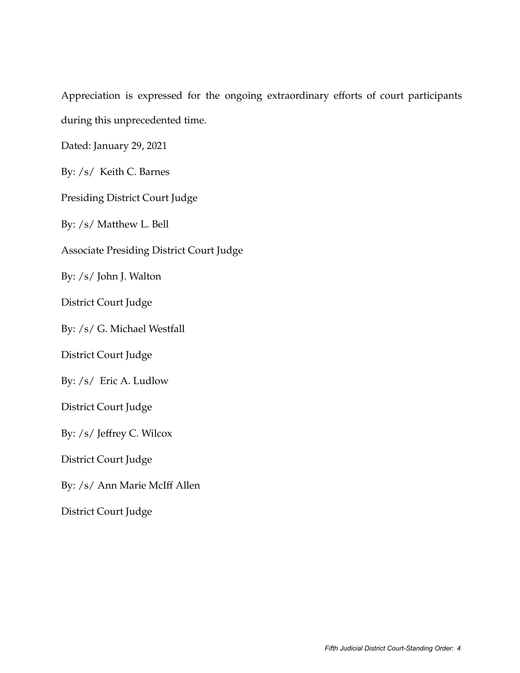Appreciation is expressed for the ongoing extraordinary efforts of court participants during this unprecedented time.

Dated: January 29, 2021

By: /s/ Keith C. Barnes

Presiding District Court Judge

By: /s/ Matthew L. Bell

Associate Presiding District Court Judge

By: /s/ John J. Walton

District Court Judge

By: /s/ G. Michael Westfall

District Court Judge

By: /s/ Eric A. Ludlow

District Court Judge

By: /s/ Jeffrey C. Wilcox

District Court Judge

By: /s/ Ann Marie McIff Allen

District Court Judge